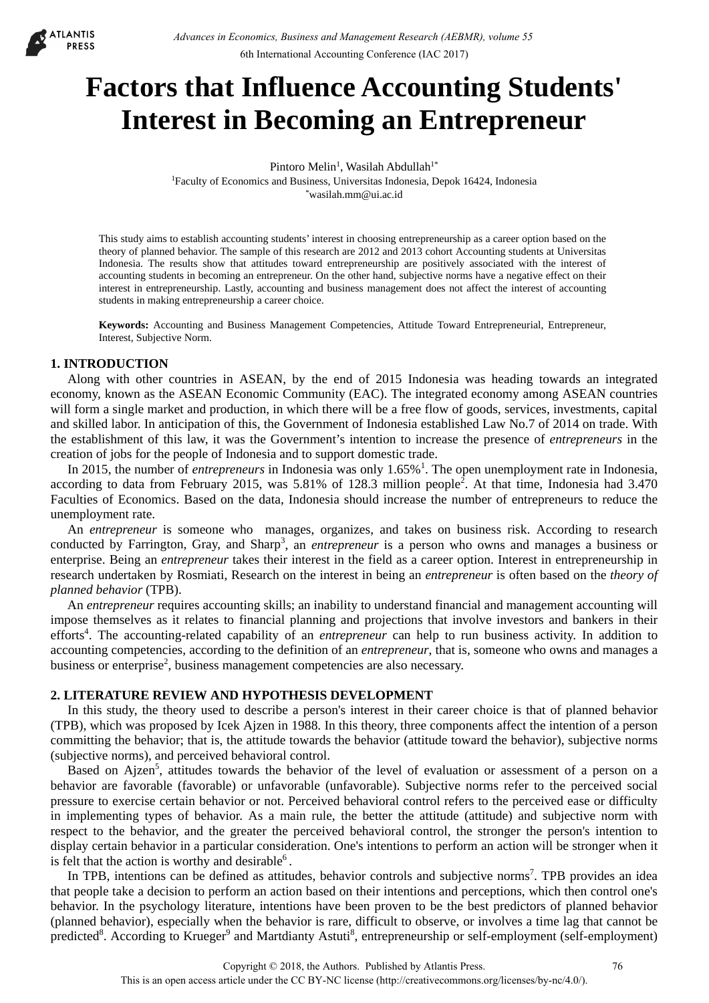

# **Factors that Influence Accounting Students' Interest in Becoming an Entrepreneur**

Pintoro Melin<sup>1</sup>, Wasilah Abdullah<sup>1\*</sup> <sup>1</sup>Faculty of Economics and Business, Universitas Indonesia, Depok 16424, Indonesia<br>\*wasilah.mm@ui.ac.id

This study aims to establish accounting students' interest in choosing entrepreneurship as a career option based on the theory of planned behavior. The sample of this research are 2012 and 2013 cohort Accounting students at Universitas Indonesia. The results show that attitudes toward entrepreneurship are positively associated with the interest of accounting students in becoming an entrepreneur. On the other hand, subjective norms have a negative effect on their interest in entrepreneurship. Lastly, accounting and business management does not affect the interest of accounting students in making entrepreneurship a career choice.

**Keywords:** Accounting and Business Management Competencies, Attitude Toward Entrepreneurial, Entrepreneur, Interest, Subjective Norm.

## **1. INTRODUCTION**

Along with other countries in ASEAN, by the end of 2015 Indonesia was heading towards an integrated economy, known as the ASEAN Economic Community (EAC). The integrated economy among ASEAN countries will form a single market and production, in which there will be a free flow of goods, services, investments, capital and skilled labor. In anticipation of this, the Government of Indonesia established Law No.7 of 2014 on trade. With the establishment of this law, it was the Government's intention to increase the presence of *entrepreneurs* in the creation of jobs for the people of Indonesia and to support domestic trade.

In 2015, the number of *entrepreneurs* in Indonesia was only 1.65%<sup>1</sup>. The open unemployment rate in Indonesia, according to data from February 2015, was 5.81% of 128.3 million people<sup>2</sup>. At that time, Indonesia had 3.470 Faculties of Economics. Based on the data, Indonesia should increase the number of entrepreneurs to reduce the unemployment rate.

An *entrepreneur* is someone who manages, organizes, and takes on business risk. According to research conducted by Farrington, Gray, and Sharp<sup>3</sup>, an *entrepreneur* is a person who owns and manages a business or enterprise. Being an *entrepreneur* takes their interest in the field as a career option. Interest in entrepreneurship in research undertaken by Rosmiati, Research on the interest in being an *entrepreneur* is often based on the *theory of planned behavior* (TPB).

An *entrepreneur* requires accounting skills; an inability to understand financial and management accounting will impose themselves as it relates to financial planning and projections that involve investors and bankers in their efforts<sup>4</sup>. The accounting-related capability of an *entrepreneur* can help to run business activity. In addition to accounting competencies, according to the definition of an *entrepreneur*, that is, someone who owns and manages a business or enterprise<sup>2</sup>, business management competencies are also necessary.

## **2. LITERATURE REVIEW AND HYPOTHESIS DEVELOPMENT**

In this study, the theory used to describe a person's interest in their career choice is that of planned behavior (TPB), which was proposed by Icek Ajzen in 1988. In this theory, three components affect the intention of a person committing the behavior; that is, the attitude towards the behavior (attitude toward the behavior), subjective norms (subjective norms), and perceived behavioral control.

Based on Ajzen<sup>5</sup>, attitudes towards the behavior of the level of evaluation or assessment of a person on a behavior are favorable (favorable) or unfavorable (unfavorable). Subjective norms refer to the perceived social pressure to exercise certain behavior or not. Perceived behavioral control refers to the perceived ease or difficulty in implementing types of behavior. As a main rule, the better the attitude (attitude) and subjective norm with respect to the behavior, and the greater the perceived behavioral control, the stronger the person's intention to display certain behavior in a particular consideration. One's intentions to perform an action will be stronger when it is felt that the action is worthy and desirable<sup>6</sup>.

In TPB, intentions can be defined as attitudes, behavior controls and subjective norms<sup>7</sup>. TPB provides an idea that people take a decision to perform an action based on their intentions and perceptions, which then control one's behavior. In the psychology literature, intentions have been proven to be the best predictors of planned behavior (planned behavior), especially when the behavior is rare, difficult to observe, or involves a time lag that cannot be predicted<sup>8</sup>. According to Krueger<sup>9</sup> and Martdianty Astuti<sup>8</sup>, entrepreneurship or self-employment (self-employment)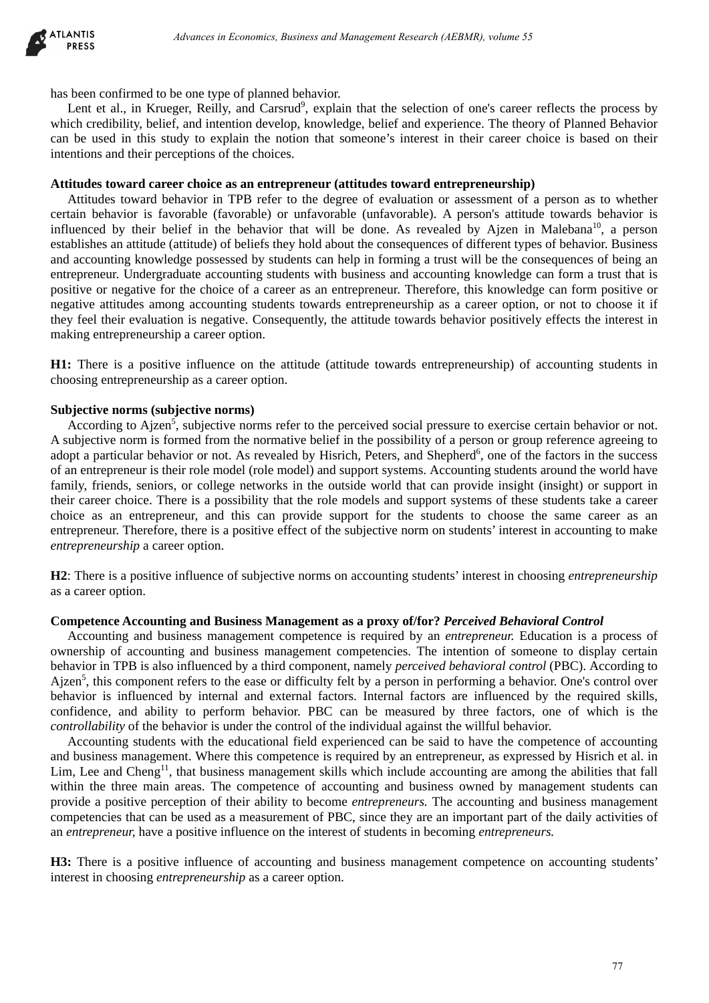

has been confirmed to be one type of planned behavior.

Lent et al., in Krueger, Reilly, and Carsrud<sup>9</sup>, explain that the selection of one's career reflects the process by which credibility, belief, and intention develop, knowledge, belief and experience. The theory of Planned Behavior can be used in this study to explain the notion that someone's interest in their career choice is based on their intentions and their perceptions of the choices.

## **Attitudes toward career choice as an entrepreneur (attitudes toward entrepreneurship)**

Attitudes toward behavior in TPB refer to the degree of evaluation or assessment of a person as to whether certain behavior is favorable (favorable) or unfavorable (unfavorable). A person's attitude towards behavior is influenced by their belief in the behavior that will be done. As revealed by Ajzen in Malebana<sup>10</sup>, a person establishes an attitude (attitude) of beliefs they hold about the consequences of different types of behavior. Business and accounting knowledge possessed by students can help in forming a trust will be the consequences of being an entrepreneur. Undergraduate accounting students with business and accounting knowledge can form a trust that is positive or negative for the choice of a career as an entrepreneur. Therefore, this knowledge can form positive or negative attitudes among accounting students towards entrepreneurship as a career option, or not to choose it if they feel their evaluation is negative. Consequently, the attitude towards behavior positively effects the interest in making entrepreneurship a career option. *Absence in Eucewornia, Business and Management Research (AEBMR), volume 55*<br>
or one type of planned behavior.<br>
For one type of planned behavior, exploring that the selection of one's career reflects the proof and the sear

**H1:** There is a positive influence on the attitude (attitude towards entrepreneurship) of accounting students in choosing entrepreneurship as a career option.

## **Subjective norms (subjective norms)**

According to Ajzen<sup>5</sup>, subjective norms refer to the perceived social pressure to exercise certain behavior or not. A subjective norm is formed from the normative belief in the possibility of a person or group reference agreeing to adopt a particular behavior or not. As revealed by Hisrich, Peters, and Shepherd<sup>6</sup>, one of the factors in the success of an entrepreneur is their role model (role model) and support systems. Accounting students around the world have family, friends, seniors, or college networks in the outside world that can provide insight (insight) or support in their career choice. There is a possibility that the role models and support systems of these students take a career choice as an entrepreneur, and this can provide support for the students to choose the same career as an entrepreneur. Therefore, there is a positive effect of the subjective norm on students' interest in accounting to make *entrepreneurship* a career option.

**H2**: There is a positive influence of subjective norms on accounting students' interest in choosing *entrepreneurship* as a career option.

#### **Competence Accounting and Business Management as a proxy of/for?** *Perceived Behavioral Control*

Accounting and business management competence is required by an *entrepreneur.* Education is a process of ownership of accounting and business management competencies. The intention of someone to display certain behavior in TPB is also influenced by a third component, namely *perceived behavioral control* (PBC). According to Ajzen<sup>5</sup>, this component refers to the ease or difficulty felt by a person in performing a behavior. One's control over behavior is influenced by internal and external factors. Internal factors are influenced by the required skills, confidence, and ability to perform behavior. PBC can be measured by three factors, one of which is the *controllability* of the behavior is under the control of the individual against the willful behavior.

Accounting students with the educational field experienced can be said to have the competence of accounting and business management. Where this competence is required by an entrepreneur, as expressed by Hisrich et al. in Lim, Lee and Cheng<sup>11</sup>, that business management skills which include accounting are among the abilities that fall within the three main areas. The competence of accounting and business owned by management students can provide a positive perception of their ability to become *entrepreneurs.* The accounting and business management competencies that can be used as a measurement of PBC, since they are an important part of the daily activities of an *entrepreneur,* have a positive influence on the interest of students in becoming *entrepreneurs.*

**H3:** There is a positive influence of accounting and business management competence on accounting students' interest in choosing *entrepreneurship* as a career option.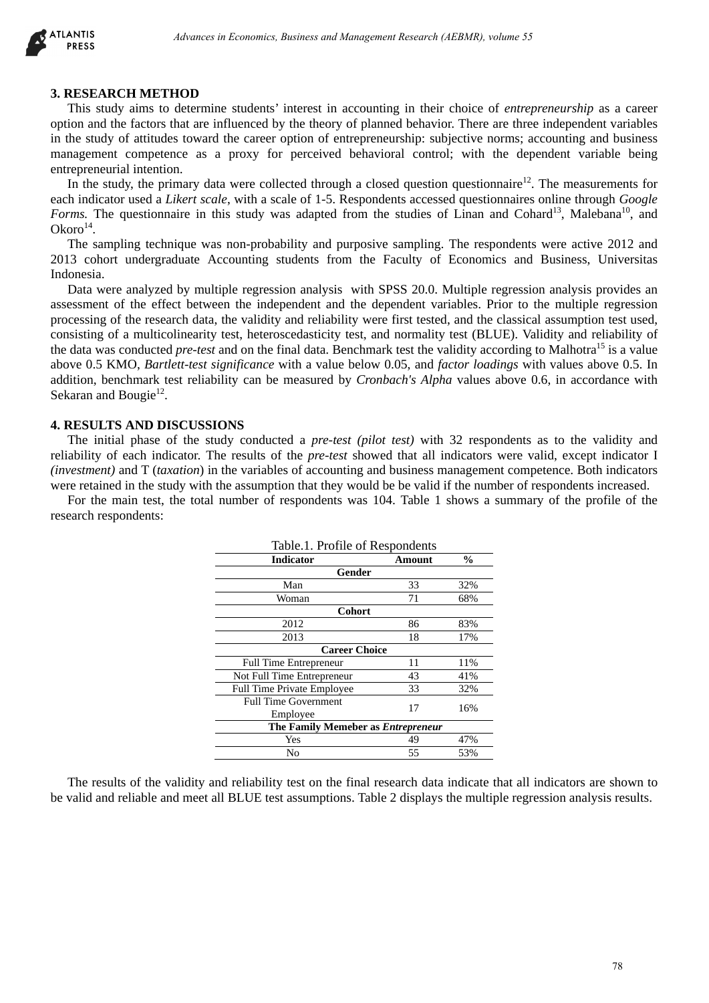

#### **3. RESEARCH METHOD**

This study aims to determine students' interest in accounting in their choice of *entrepreneurship* as a career option and the factors that are influenced by the theory of planned behavior. There are three independent variables in the study of attitudes toward the career option of entrepreneurship: subjective norms; accounting and business management competence as a proxy for perceived behavioral control; with the dependent variable being entrepreneurial intention.

In the study, the primary data were collected through a closed question questionnaire<sup>12</sup>. The measurements for each indicator used a *Likert scale*, with a scale of 1-5. Respondents accessed questionnaires online through *Google Forms.* The questionnaire in this study was adapted from the studies of Linan and Cohard<sup>13</sup>, Malebana<sup>10</sup>, and  $Okoro<sup>14</sup>$ .

The sampling technique was non-probability and purposive sampling. The respondents were active 2012 and 2013 cohort undergraduate Accounting students from the Faculty of Economics and Business, Universitas Indonesia.

Data were analyzed by multiple regression analysis with SPSS 20.0. Multiple regression analysis provides an assessment of the effect between the independent and the dependent variables. Prior to the multiple regression processing of the research data, the validity and reliability were first tested, and the classical assumption test used, consisting of a multicolinearity test, heteroscedasticity test, and normality test (BLUE). Validity and reliability of the data was conducted *pre-test* and on the final data. Benchmark test the validity according to Malhotra<sup>15</sup> is a value above 0.5 KMO, *Bartlett-test significance* with a value below 0.05, and *factor loadings* with values above 0.5. In addition, benchmark test reliability can be measured by *Cronbach's Alpha* values above 0.6, in accordance with Sekaran and Bougie $^{12}$ .

## **4. RESULTS AND DISCUSSIONS**

The initial phase of the study conducted a *pre-test (pilot test)* with 32 respondents as to the validity and reliability of each indicator. The results of the *pre-test* showed that all indicators were valid, except indicator I *(investment)* and T (*taxation*) in the variables of accounting and business management competence. Both indicators were retained in the study with the assumption that they would be be valid if the number of respondents increased.

For the main test, the total number of respondents was 104. Table 1 shows a summary of the profile of the research respondents:

| HOD<br>determine students' interest in accounting in their choice of <i>entrepreneurship</i> as a<br>hat are influenced by the theory of planned behavior. There are three independent va<br>s toward the career option of entrepreneurship: subjective norms; accounting and b<br>nce as a proxy for perceived behavioral control; with the dependent variable<br>n.                                                                                                                                                                                                                                                                                                 |          |            |  |
|-----------------------------------------------------------------------------------------------------------------------------------------------------------------------------------------------------------------------------------------------------------------------------------------------------------------------------------------------------------------------------------------------------------------------------------------------------------------------------------------------------------------------------------------------------------------------------------------------------------------------------------------------------------------------|----------|------------|--|
| mary data were collected through a closed question questionnaire <sup>12</sup> . The measureme<br>ikert scale, with a scale of 1-5. Respondents accessed questionnaires online through (<br>hire in this study was adapted from the studies of Linan and Cohard <sup>13</sup> , Malebana                                                                                                                                                                                                                                                                                                                                                                              |          |            |  |
| ique was non-probability and purposive sampling. The respondents were active 20<br>duate Accounting students from the Faculty of Economics and Business, Univ                                                                                                                                                                                                                                                                                                                                                                                                                                                                                                         |          |            |  |
| by multiple regression analysis with SPSS 20.0. Multiple regression analysis provi<br>et between the independent and the dependent variables. Prior to the multiple regi<br>rch data, the validity and reliability were first tested, and the classical assumption tes<br>linearity test, heteroscedasticity test, and normality test (BLUE). Validity and reliab<br><i>pre-test</i> and on the final data. Benchmark test the validity according to Malhotra <sup>15</sup> is a<br>ett-test significance with a value below 0.05, and factor loadings with values above<br>st reliability can be measured by <i>Cronbach's Alpha</i> values above 0.6, in accordance |          |            |  |
| <b>SCUSSIONS</b><br>f the study conducted a <i>pre-test (pilot test)</i> with 32 respondents as to the validi<br>cator. The results of the <i>pre-test</i> showed that all indicators were valid, except indi<br><i>ation</i> ) in the variables of accounting and business management competence. Both ind<br>dy with the assumption that they would be be valid if the number of respondents incre<br>he total number of respondents was 104. Table 1 shows a summary of the profile                                                                                                                                                                                |          |            |  |
|                                                                                                                                                                                                                                                                                                                                                                                                                                                                                                                                                                                                                                                                       |          |            |  |
| Table.1. Profile of Respondents                                                                                                                                                                                                                                                                                                                                                                                                                                                                                                                                                                                                                                       |          |            |  |
| Indicator                                                                                                                                                                                                                                                                                                                                                                                                                                                                                                                                                                                                                                                             | Amount   | $\%$       |  |
| Gender<br>Man                                                                                                                                                                                                                                                                                                                                                                                                                                                                                                                                                                                                                                                         | 33       | 32%        |  |
| Woman                                                                                                                                                                                                                                                                                                                                                                                                                                                                                                                                                                                                                                                                 | 71       | 68%        |  |
| Cohort<br>2012                                                                                                                                                                                                                                                                                                                                                                                                                                                                                                                                                                                                                                                        | 86       | 83%        |  |
| 2013                                                                                                                                                                                                                                                                                                                                                                                                                                                                                                                                                                                                                                                                  | 18       | 17%        |  |
| <b>Career Choice</b>                                                                                                                                                                                                                                                                                                                                                                                                                                                                                                                                                                                                                                                  |          |            |  |
| Full Time Entrepreneur                                                                                                                                                                                                                                                                                                                                                                                                                                                                                                                                                                                                                                                | 11<br>43 | 11%<br>41% |  |
| Not Full Time Entrepreneur<br>Full Time Private Employee                                                                                                                                                                                                                                                                                                                                                                                                                                                                                                                                                                                                              | 33       | 32%        |  |
| <b>Full Time Government</b>                                                                                                                                                                                                                                                                                                                                                                                                                                                                                                                                                                                                                                           | 17       | 16%        |  |
| Employee<br>The Family Memeber as Entrepreneur                                                                                                                                                                                                                                                                                                                                                                                                                                                                                                                                                                                                                        |          |            |  |
| Yes                                                                                                                                                                                                                                                                                                                                                                                                                                                                                                                                                                                                                                                                   | 49       | 47%        |  |
| No                                                                                                                                                                                                                                                                                                                                                                                                                                                                                                                                                                                                                                                                    | 55       | 53%        |  |
| alidity and reliability test on the final research data indicate that all indicators are sh<br>d meet all BLUE test assumptions. Table 2 displays the multiple regression analysis re                                                                                                                                                                                                                                                                                                                                                                                                                                                                                 |          |            |  |
|                                                                                                                                                                                                                                                                                                                                                                                                                                                                                                                                                                                                                                                                       |          |            |  |

The results of the validity and reliability test on the final research data indicate that all indicators are shown to be valid and reliable and meet all BLUE test assumptions. Table 2 displays the multiple regression analysis results.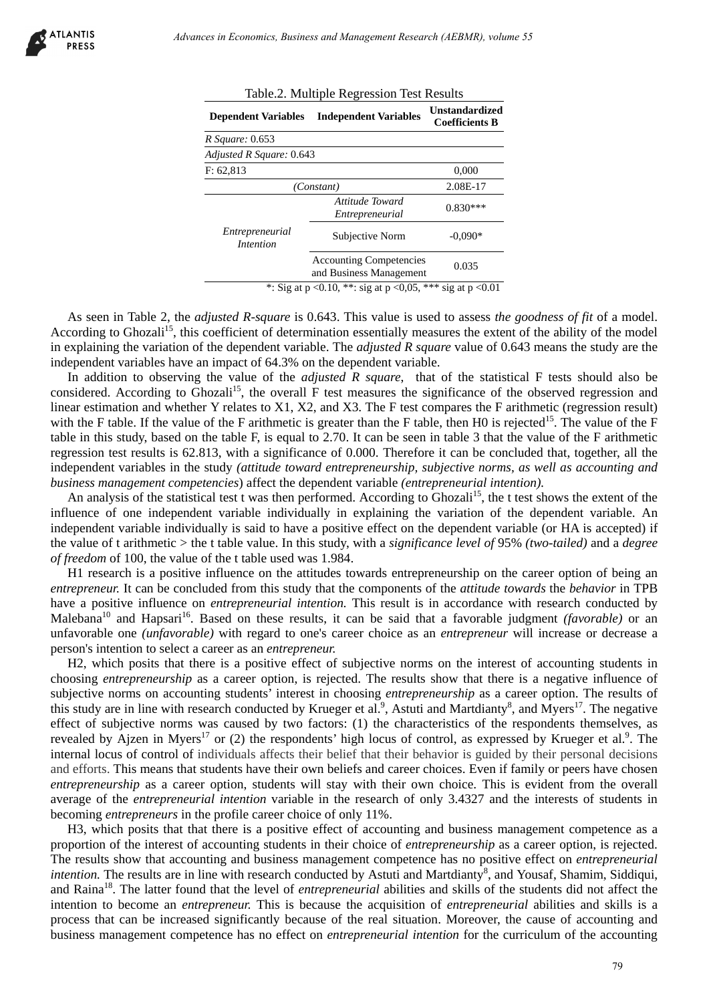| Table.2. Multiple Regression Test Results |                                                                |                                                |  |
|-------------------------------------------|----------------------------------------------------------------|------------------------------------------------|--|
| <b>Dependent Variables</b>                | <b>Independent Variables</b>                                   | <b>Unstandardized</b><br><b>Coefficients B</b> |  |
| R Square: 0.653                           |                                                                |                                                |  |
| Adjusted R Square: 0.643                  |                                                                |                                                |  |
| F: 62,813                                 |                                                                | 0,000                                          |  |
| (Constant)                                |                                                                | 2.08E-17                                       |  |
|                                           | Attitude Toward<br>Entrepreneurial                             | $0.830***$                                     |  |
| Entrepreneurial<br><i>Intention</i>       | Subjective Norm                                                | $-0.090*$                                      |  |
|                                           | <b>Accounting Competencies</b><br>and Business Management      | 0.035                                          |  |
|                                           | * Sig at $n < 0.10$ ** sig at $n < 0.05$ *** sig at $n < 0.01$ |                                                |  |

\*: Sig at  $p < 0.10$ , \*\*: sig at  $p < 0.05$ , \*\*\* sig at  $p < 0.01$ 

As seen in Table 2, the *adjusted R-square* is 0.643. This value is used to assess *the goodness of fit* of a model. According to Ghozali<sup>15</sup>, this coefficient of determination essentially measures the extent of the ability of the model in explaining the variation of the dependent variable. The *adjusted R square* value of 0.643 means the study are the independent variables have an impact of 64.3% on the dependent variable.

In addition to observing the value of the *adjusted R square*, that of the statistical F tests should also be considered. According to Ghozali<sup>15</sup>, the overall F test measures the significance of the observed regression and linear estimation and whether Y relates to X1, X2, and X3. The F test compares the F arithmetic (regression result) with the F table. If the value of the F arithmetic is greater than the F table, then H0 is rejected<sup>15</sup>. The value of the F table in this study, based on the table F, is equal to 2.70. It can be seen in table 3 that the value of the F arithmetic regression test results is 62.813, with a significance of 0.000. Therefore it can be concluded that, together, all the independent variables in the study *(attitude toward entrepreneurship, subjective norms, as well as accounting and business management competencies*) affect the dependent variable *(entrepreneurial intention).*

An analysis of the statistical test t was then performed. According to Ghozali<sup>15</sup>, the t test shows the extent of the influence of one independent variable individually in explaining the variation of the dependent variable. An independent variable individually is said to have a positive effect on the dependent variable (or HA is accepted) if the value of t arithmetic > the t table value. In this study, with a *significance level of* 95% *(two-tailed)* and a *degree of freedom* of 100, the value of the t table used was 1.984.

H1 research is a positive influence on the attitudes towards entrepreneurship on the career option of being an *entrepreneur.* It can be concluded from this study that the components of the *attitude towards* the *behavior* in TPB have a positive influence on *entrepreneurial intention.* This result is in accordance with research conducted by Malebana<sup>10</sup> and Hapsari<sup>16</sup>. Based on these results, it can be said that a favorable judgment *(favorable)* or an unfavorable one *(unfavorable)* with regard to one's career choice as an *entrepreneur* will increase or decrease a person's intention to select a career as an *entrepreneur.*

H2, which posits that there is a positive effect of subjective norms on the interest of accounting students in choosing *entrepreneurship* as a career option, is rejected. The results show that there is a negative influence of subjective norms on accounting students' interest in choosing *entrepreneurship* as a career option. The results of this study are in line with research conducted by Krueger et al.<sup>9</sup>, Astuti and Martdianty<sup>8</sup>, and Myers<sup>17</sup>. The negative effect of subjective norms was caused by two factors: (1) the characteristics of the respondents themselves, as revealed by Ajzen in Myers<sup>17</sup> or (2) the respondents' high locus of control, as expressed by Krueger et al.<sup>9</sup>. The internal locus of control of individuals affects their belief that their behavior is guided by their personal decisions and efforts. This means that students have their own beliefs and career choices. Even if family or peers have chosen *entrepreneurship* as a career option, students will stay with their own choice. This is evident from the overall average of the *entrepreneurial intention* variable in the research of only 3.4327 and the interests of students in becoming *entrepreneurs* in the profile career choice of only 11%. *Advances in Economics, Busines and Management Research (AEBMR), volume 55*<br>
The C. 2. Multiple Regression Test Results<br> **Dropsendent Winkles** Trademark Winkles Understand Winkles<br> **Dropsendent Winkles** Trademark Winkles U

H3, which posits that that there is a positive effect of accounting and business management competence as a proportion of the interest of accounting students in their choice of *entrepreneurship* as a career option, is rejected. The results show that accounting and business management competence has no positive effect on *entrepreneurial intention*. The results are in line with research conducted by Astuti and Martdianty<sup>8</sup>, and Yousaf, Shamim, Siddiqui, and Raina18. The latter found that the level of *entrepreneurial* abilities and skills of the students did not affect the intention to become an *entrepreneur.* This is because the acquisition of *entrepreneurial* abilities and skills is a process that can be increased significantly because of the real situation. Moreover, the cause of accounting and business management competence has no effect on *entrepreneurial intention* for the curriculum of the accounting